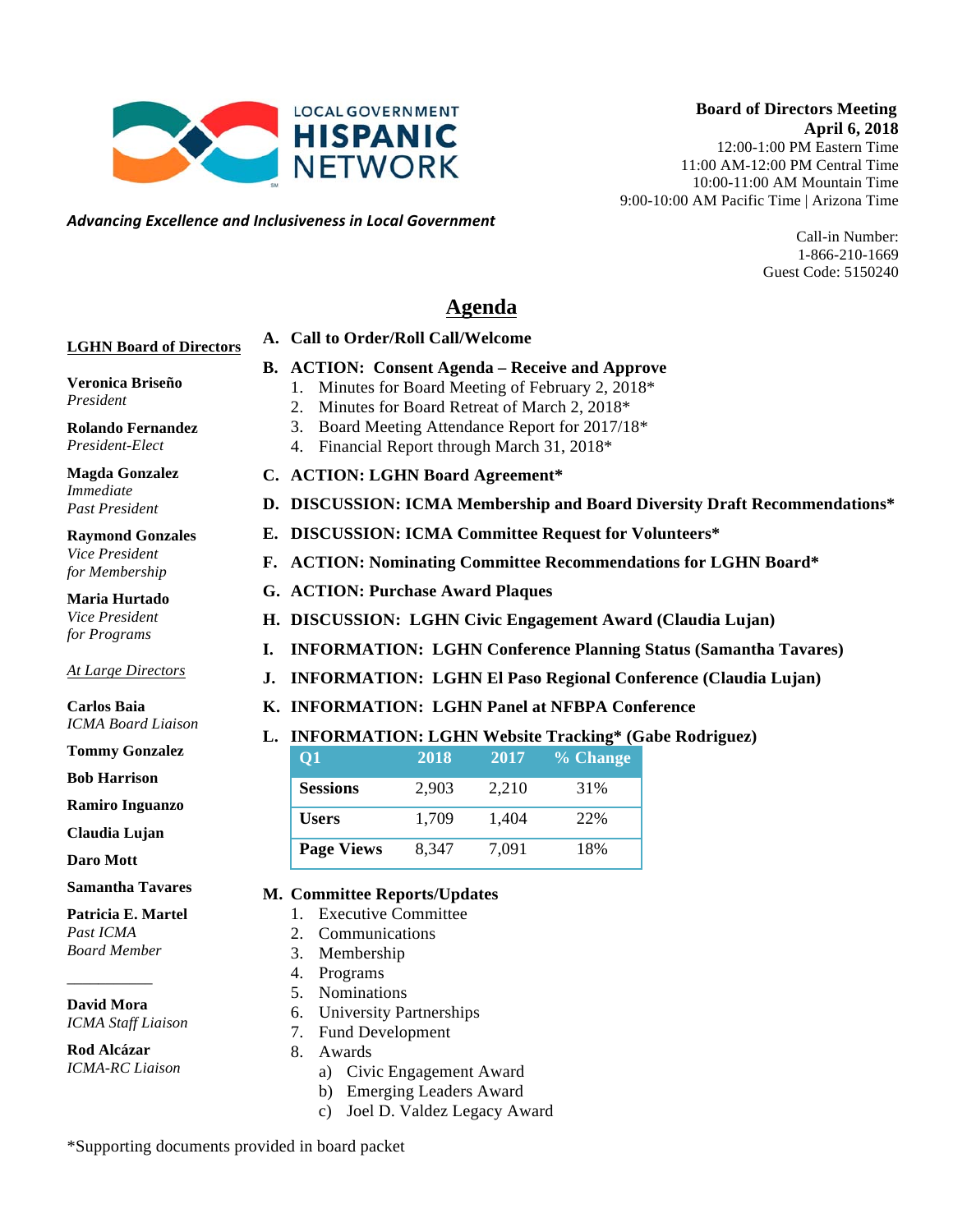**Board of Directors Meeting April 6, 2018** 12:00-1:00 PM Eastern Time 11:00 AM-12:00 PM Central Time 10:00-11:00 AM Mountain Time 9:00-10:00 AM Pacific Time | Arizona Time

> Call-in Number: 1-866-210-1669 Guest Code: 5150240

# **Agenda**

# **A. Call to Order/Roll Call/Welcome**

# **B. ACTION: Consent Agenda – Receive and Approve**

- 1. Minutes for Board Meeting of February 2, 2018\*
- 2. Minutes for Board Retreat of March 2, 2018\*
- 3. Board Meeting Attendance Report for 2017/18\*
- 4. Financial Report through March 31, 2018\*
- **C. ACTION: LGHN Board Agreement\***
- **D. DISCUSSION: ICMA Membership and Board Diversity Draft Recommendations\***
- **E. DISCUSSION: ICMA Committee Request for Volunteers\***
- **F. ACTION: Nominating Committee Recommendations for LGHN Board\***
- **G. ACTION: Purchase Award Plaques**
- **H. DISCUSSION: LGHN Civic Engagement Award (Claudia Lujan)**
- **I. INFORMATION: LGHN Conference Planning Status (Samantha Tavares)**
- **J. INFORMATION: LGHN El Paso Regional Conference (Claudia Lujan)**
- **K. INFORMATION: LGHN Panel at NFBPA Conference**

# **L. INFORMATION: LGHN Website Tracking\* (Gabe Rodriguez)**

| 01                | 2018  | 2017  | % Change |
|-------------------|-------|-------|----------|
| <b>Sessions</b>   | 2.903 | 2,210 | 31%      |
| <b>Users</b>      | 1,709 | 1.404 | 22%      |
| <b>Page Views</b> | 8,347 | 7,091 | 18%      |

#### **M. Committee Reports/Updates**

- 1. Executive Committee
- 2. Communications
- 3. Membership
- 4. Programs
- 5. Nominations
- 6. University Partnerships
- 7. Fund Development
- 8. Awards
	- a) Civic Engagement Award
	- b) Emerging Leaders Award
	- c) Joel D. Valdez Legacy Award

\*Supporting documents provided in board packet

**LGHN Board of Directors**

**Veronica Briseño** *President*

**Rolando Fernandez** *President-Elect*

**Magda Gonzalez** *Immediate Past President*

**Raymond Gonzales** *Vice President for Membership*

**Maria Hurtado** *Vice President for Programs*

#### *At Large Directors*

**Carlos Baia** *ICMA Board Liaison*

**Tommy Gonzalez**

**Bob Harrison**

**Ramiro Inguanzo**

**Claudia Lujan**

**Daro Mott**

#### **Samantha Tavares**

#### **Patricia E. Martel**

*Past ICMA Board Member*

# \_\_\_\_\_\_\_\_\_\_\_ **David Mora**

*ICMA Staff Liaison*

**Rod Alcázar** *ICMA-RC Liaison*



*Advancing)Excellence)and)Inclusiveness)in)Local)Government*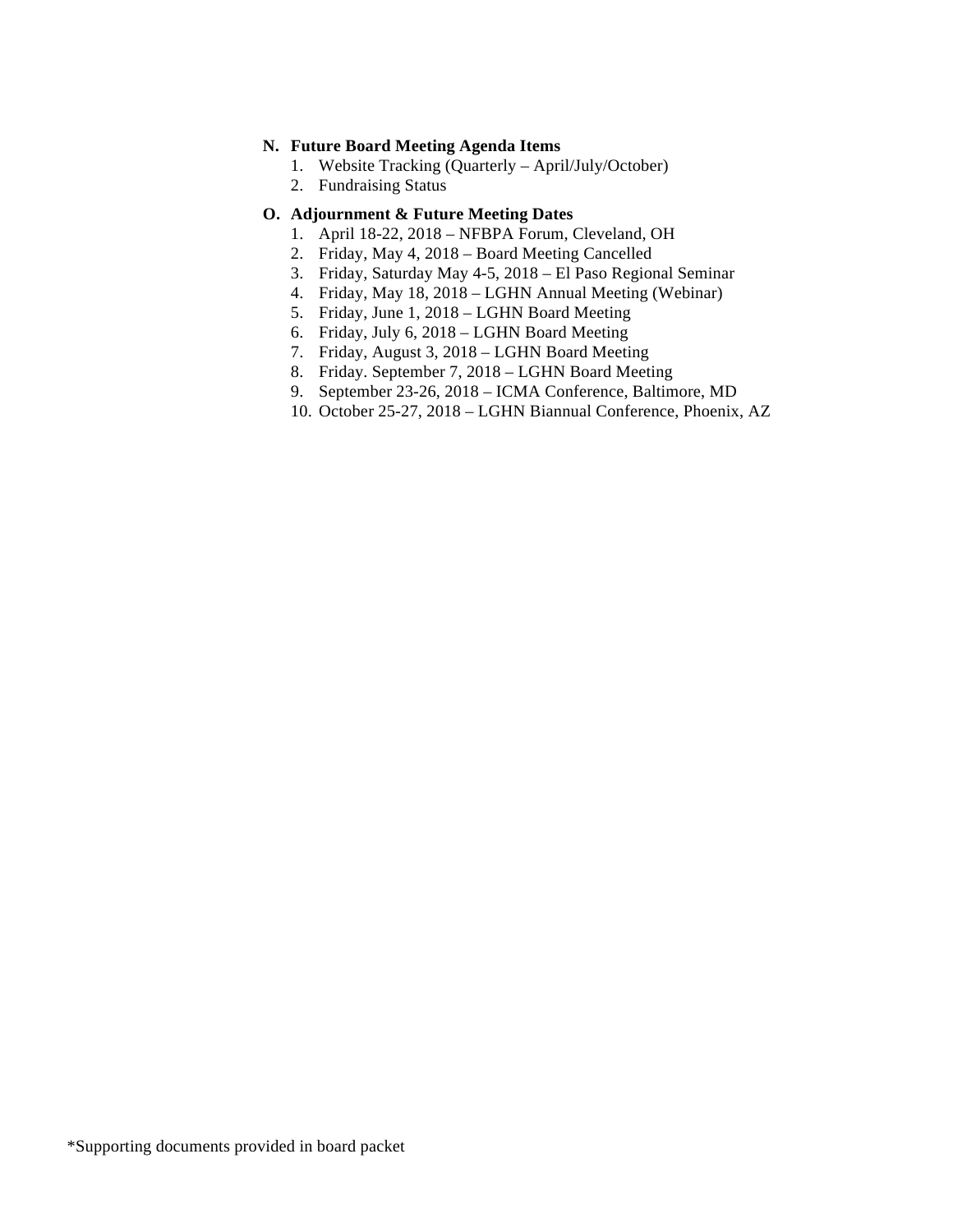#### **N. Future Board Meeting Agenda Items**

- 1. Website Tracking (Quarterly April/July/October)
- 2. Fundraising Status

### **O. Adjournment & Future Meeting Dates**

- 1. April 18-22, 2018 NFBPA Forum, Cleveland, OH
- 2. Friday, May 4, 2018 Board Meeting Cancelled
- 3. Friday, Saturday May 4-5, 2018 El Paso Regional Seminar
- 4. Friday, May 18, 2018 LGHN Annual Meeting (Webinar)
- 5. Friday, June 1, 2018 LGHN Board Meeting
- 6. Friday, July 6, 2018 LGHN Board Meeting
- 7. Friday, August 3, 2018 LGHN Board Meeting
- 8. Friday. September 7, 2018 LGHN Board Meeting
- 9. September 23-26, 2018 ICMA Conference, Baltimore, MD
- 10. October 25-27, 2018 LGHN Biannual Conference, Phoenix, AZ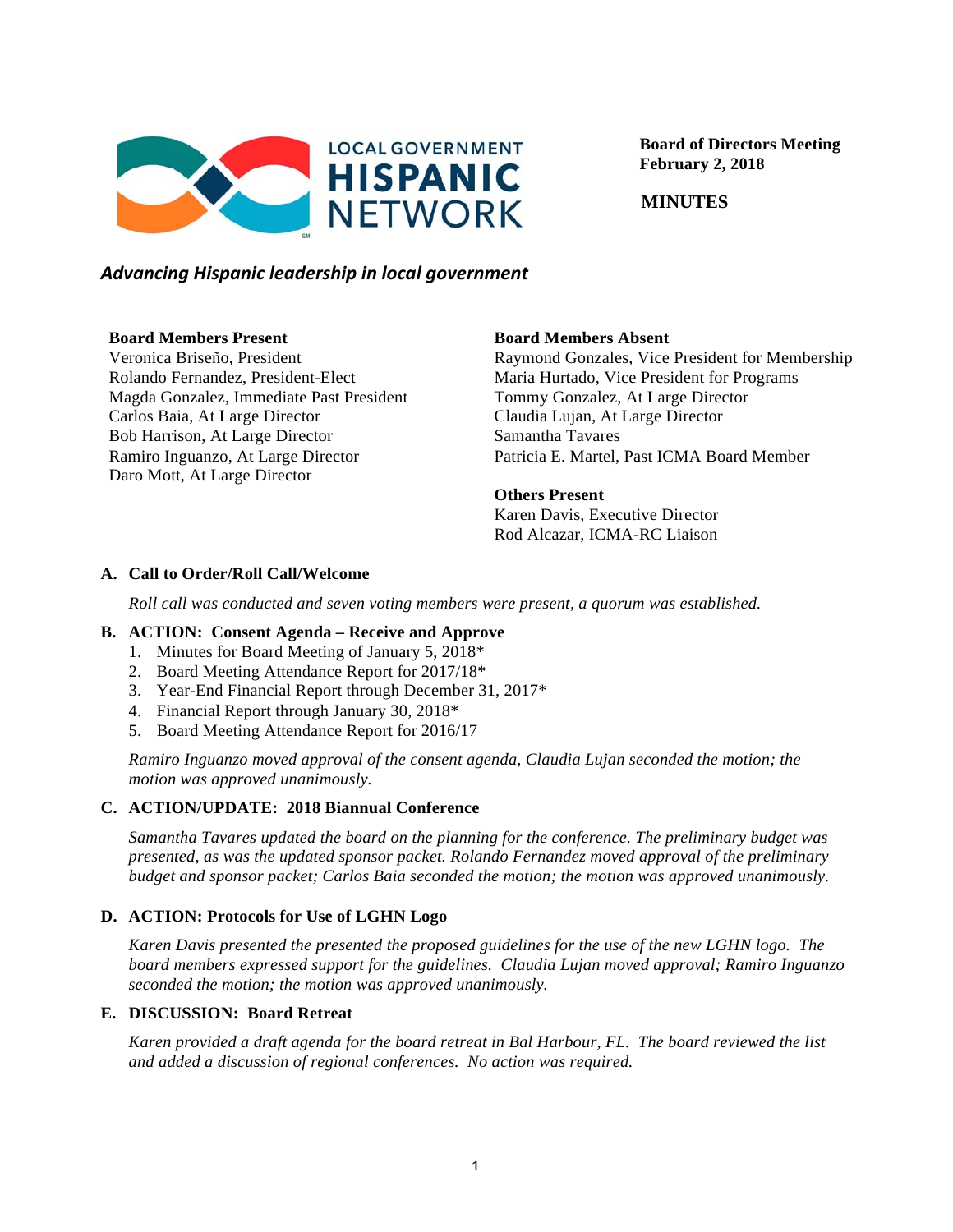

 **Board of Directors Meeting February 2, 2018**

 **MINUTES**

# *Advancing)Hispanic)leadership)in)local)government*

## **Board Members Present**

Veronica Briseño, President Rolando Fernandez, President-Elect Magda Gonzalez, Immediate Past President Carlos Baia, At Large Director Bob Harrison, At Large Director Ramiro Inguanzo, At Large Director Daro Mott, At Large Director

# **Board Members Absent**

Raymond Gonzales, Vice President for Membership Maria Hurtado, Vice President for Programs Tommy Gonzalez, At Large Director Claudia Lujan, At Large Director Samantha Tavares Patricia E. Martel, Past ICMA Board Member

## **Others Present**

Karen Davis, Executive Director Rod Alcazar, ICMA-RC Liaison

# **A. Call to Order/Roll Call/Welcome**

*Roll call was conducted and seven voting members were present, a quorum was established.*

#### **B. ACTION: Consent Agenda – Receive and Approve**

- 1. Minutes for Board Meeting of January 5, 2018\*
- 2. Board Meeting Attendance Report for 2017/18\*
- 3. Year-End Financial Report through December 31, 2017\*
- 4. Financial Report through January 30, 2018\*
- 5. Board Meeting Attendance Report for 2016/17

*Ramiro Inguanzo moved approval of the consent agenda, Claudia Lujan seconded the motion; the motion was approved unanimously.*

# **C. ACTION/UPDATE: 2018 Biannual Conference**

*Samantha Tavares updated the board on the planning for the conference. The preliminary budget was presented, as was the updated sponsor packet. Rolando Fernandez moved approval of the preliminary budget and sponsor packet; Carlos Baia seconded the motion; the motion was approved unanimously.*

# **D. ACTION: Protocols for Use of LGHN Logo**

*Karen Davis presented the presented the proposed guidelines for the use of the new LGHN logo. The board members expressed support for the guidelines. Claudia Lujan moved approval; Ramiro Inguanzo seconded the motion; the motion was approved unanimously.* 

# **E. DISCUSSION: Board Retreat**

*Karen provided a draft agenda for the board retreat in Bal Harbour, FL. The board reviewed the list and added a discussion of regional conferences. No action was required.*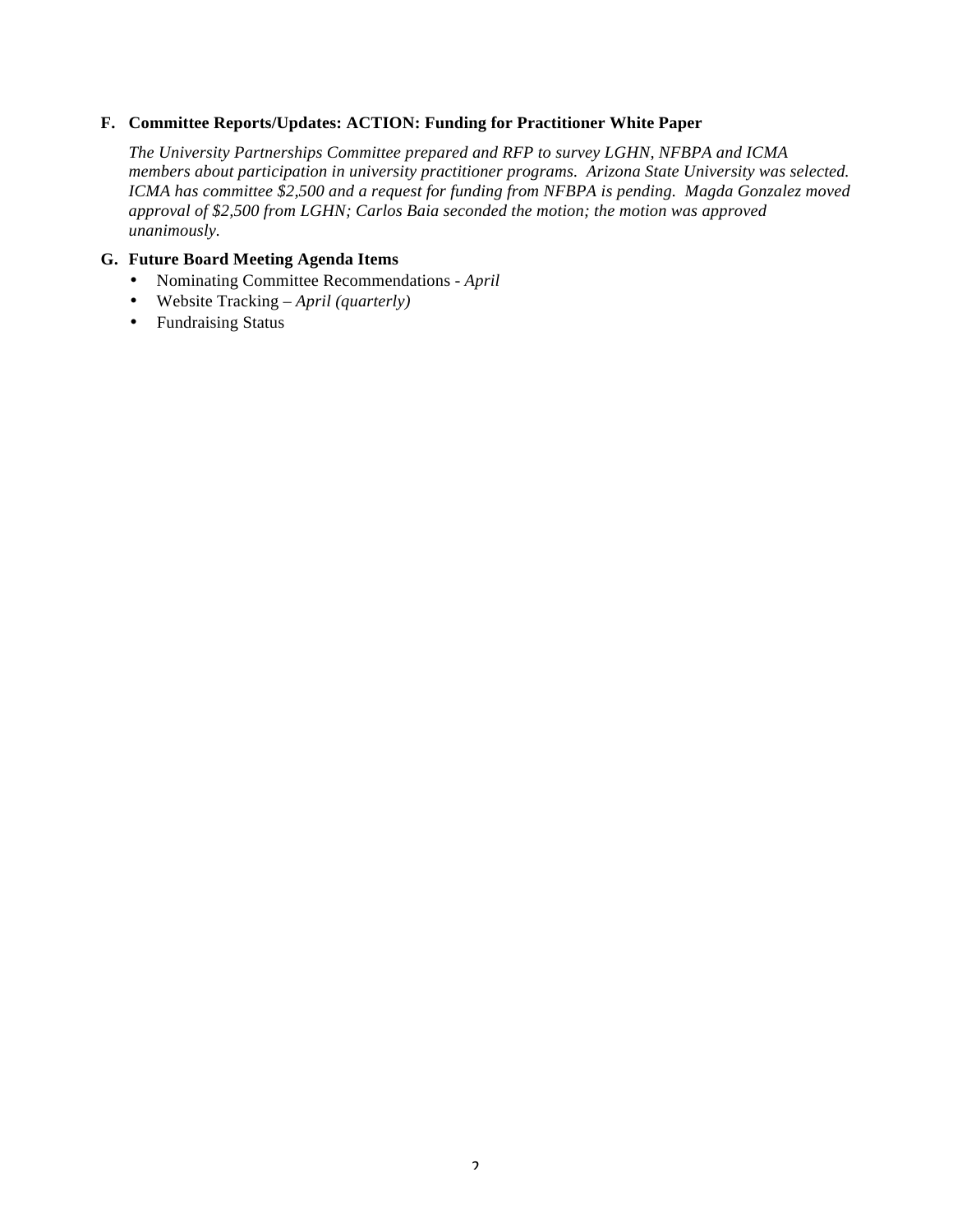#### **F. Committee Reports/Updates: ACTION: Funding for Practitioner White Paper**

*The University Partnerships Committee prepared and RFP to survey LGHN, NFBPA and ICMA members about participation in university practitioner programs. Arizona State University was selected. ICMA has committee \$2,500 and a request for funding from NFBPA is pending. Magda Gonzalez moved approval of \$2,500 from LGHN; Carlos Baia seconded the motion; the motion was approved unanimously.* 

#### **G. Future Board Meeting Agenda Items**

- Nominating Committee Recommendations *- April*
- Website Tracking *– April (quarterly)*
- Fundraising Status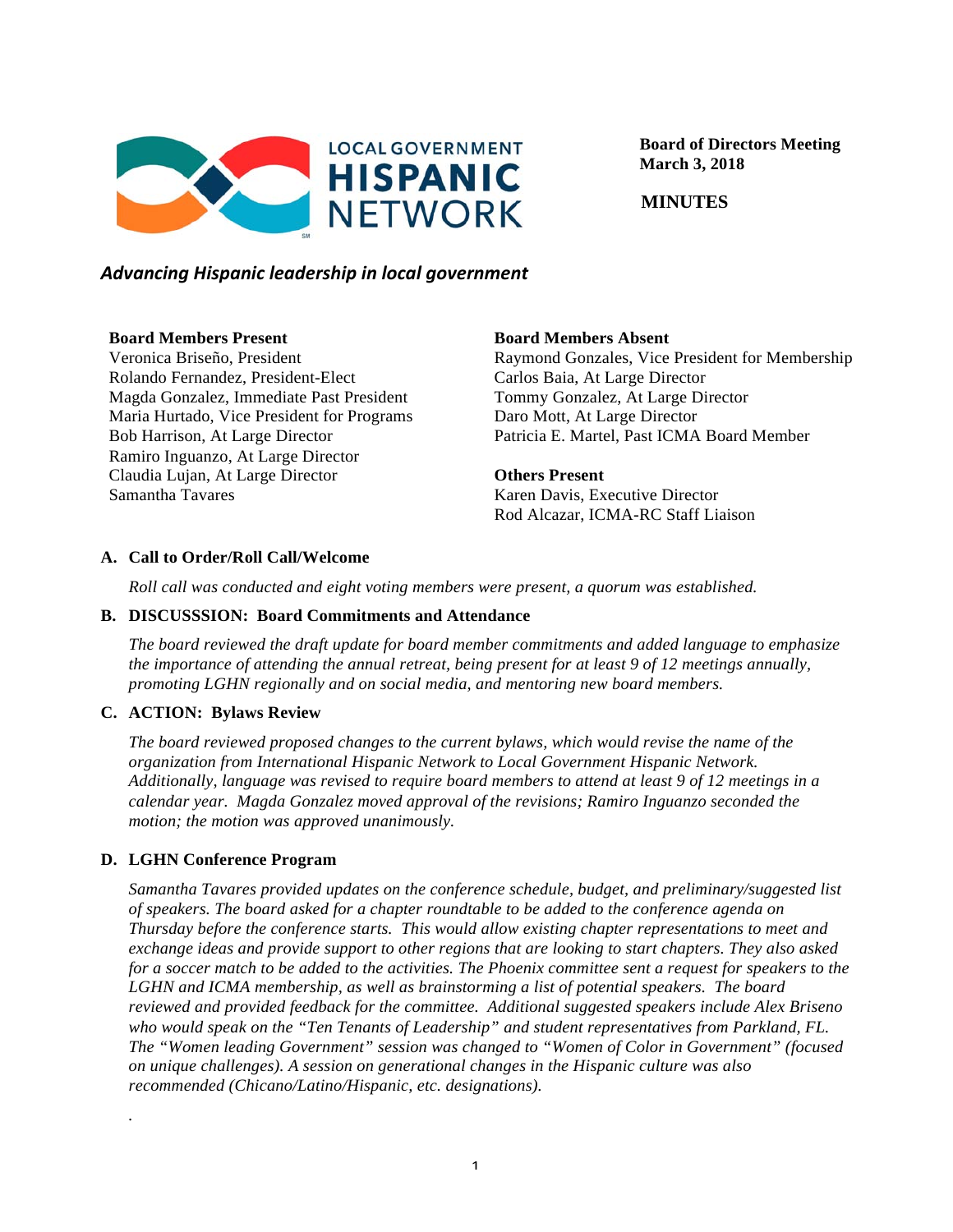

 **Board of Directors Meeting March 3, 2018**

 **MINUTES**

# *Advancing)Hispanic)leadership)in)local)government*

## **Board Members Present**

Veronica Briseño, President Rolando Fernandez, President-Elect Magda Gonzalez, Immediate Past President Maria Hurtado, Vice President for Programs Bob Harrison, At Large Director Ramiro Inguanzo, At Large Director Claudia Lujan, At Large Director Samantha Tavares

# **Board Members Absent**

Raymond Gonzales, Vice President for Membership Carlos Baia, At Large Director Tommy Gonzalez, At Large Director Daro Mott, At Large Director Patricia E. Martel, Past ICMA Board Member

# **Others Present**

Karen Davis, Executive Director Rod Alcazar, ICMA-RC Staff Liaison

# **A. Call to Order/Roll Call/Welcome**

*Roll call was conducted and eight voting members were present, a quorum was established.*

# **B. DISCUSSSION: Board Commitments and Attendance**

*The board reviewed the draft update for board member commitments and added language to emphasize the importance of attending the annual retreat, being present for at least 9 of 12 meetings annually, promoting LGHN regionally and on social media, and mentoring new board members.*

# **C. ACTION: Bylaws Review**

*The board reviewed proposed changes to the current bylaws, which would revise the name of the organization from International Hispanic Network to Local Government Hispanic Network. Additionally, language was revised to require board members to attend at least 9 of 12 meetings in a calendar year. Magda Gonzalez moved approval of the revisions; Ramiro Inguanzo seconded the motion; the motion was approved unanimously.*

# **D. LGHN Conference Program**

*.*

*Samantha Tavares provided updates on the conference schedule, budget, and preliminary/suggested list of speakers. The board asked for a chapter roundtable to be added to the conference agenda on Thursday before the conference starts. This would allow existing chapter representations to meet and exchange ideas and provide support to other regions that are looking to start chapters. They also asked for a soccer match to be added to the activities. The Phoenix committee sent a request for speakers to the LGHN and ICMA membership, as well as brainstorming a list of potential speakers. The board reviewed and provided feedback for the committee. Additional suggested speakers include Alex Briseno who would speak on the "Ten Tenants of Leadership" and student representatives from Parkland, FL. The "Women leading Government" session was changed to "Women of Color in Government" (focused on unique challenges). A session on generational changes in the Hispanic culture was also recommended (Chicano/Latino/Hispanic, etc. designations).*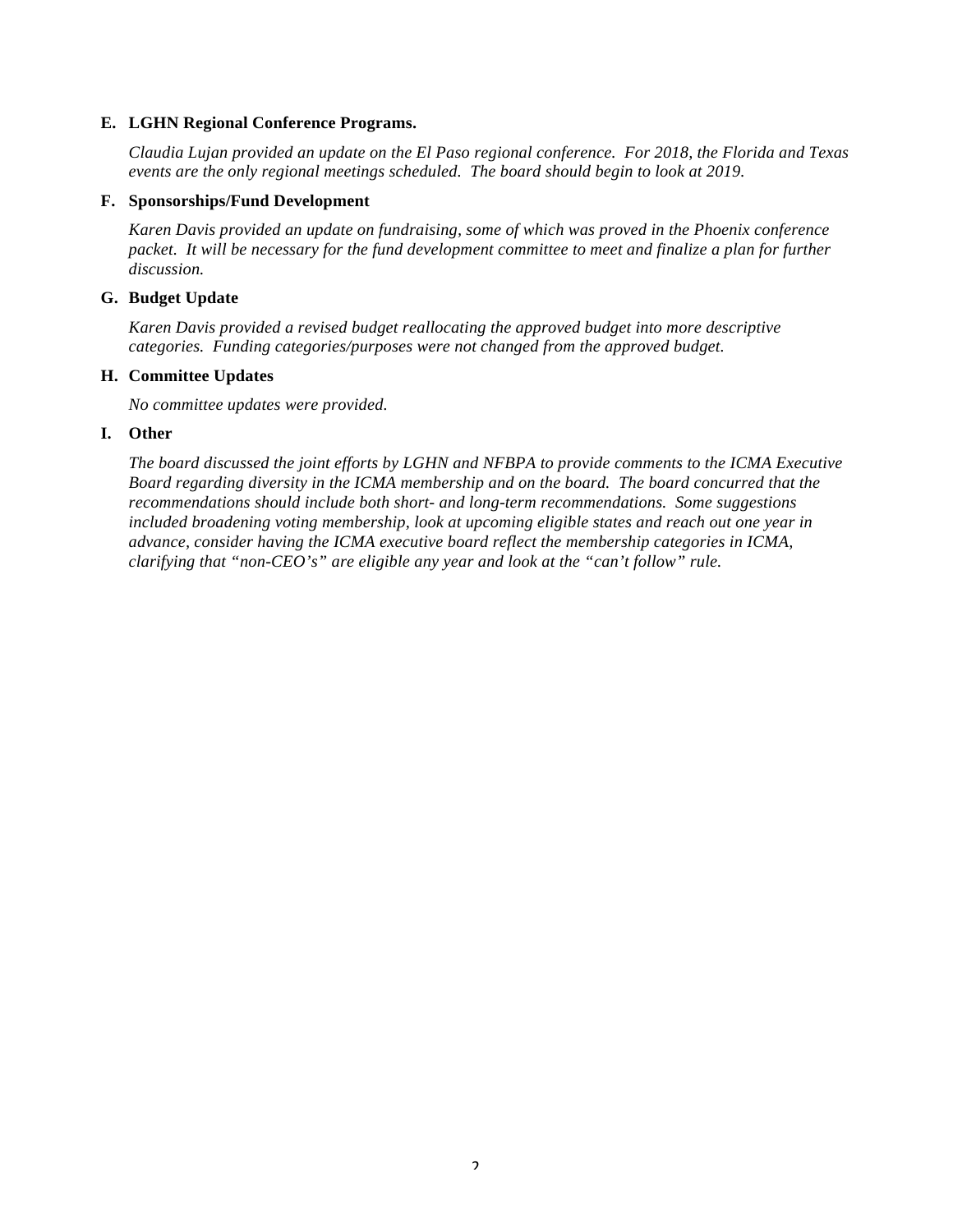#### **E. LGHN Regional Conference Programs.**

*Claudia Lujan provided an update on the El Paso regional conference. For 2018, the Florida and Texas events are the only regional meetings scheduled. The board should begin to look at 2019.*

#### **F. Sponsorships/Fund Development**

*Karen Davis provided an update on fundraising, some of which was proved in the Phoenix conference packet. It will be necessary for the fund development committee to meet and finalize a plan for further discussion.*

#### **G. Budget Update**

*Karen Davis provided a revised budget reallocating the approved budget into more descriptive categories. Funding categories/purposes were not changed from the approved budget.* 

#### **H. Committee Updates**

*No committee updates were provided.*

#### **I. Other**

*The board discussed the joint efforts by LGHN and NFBPA to provide comments to the ICMA Executive Board regarding diversity in the ICMA membership and on the board. The board concurred that the recommendations should include both short- and long-term recommendations. Some suggestions included broadening voting membership, look at upcoming eligible states and reach out one year in advance, consider having the ICMA executive board reflect the membership categories in ICMA, clarifying that "non-CEO's" are eligible any year and look at the "can't follow" rule.*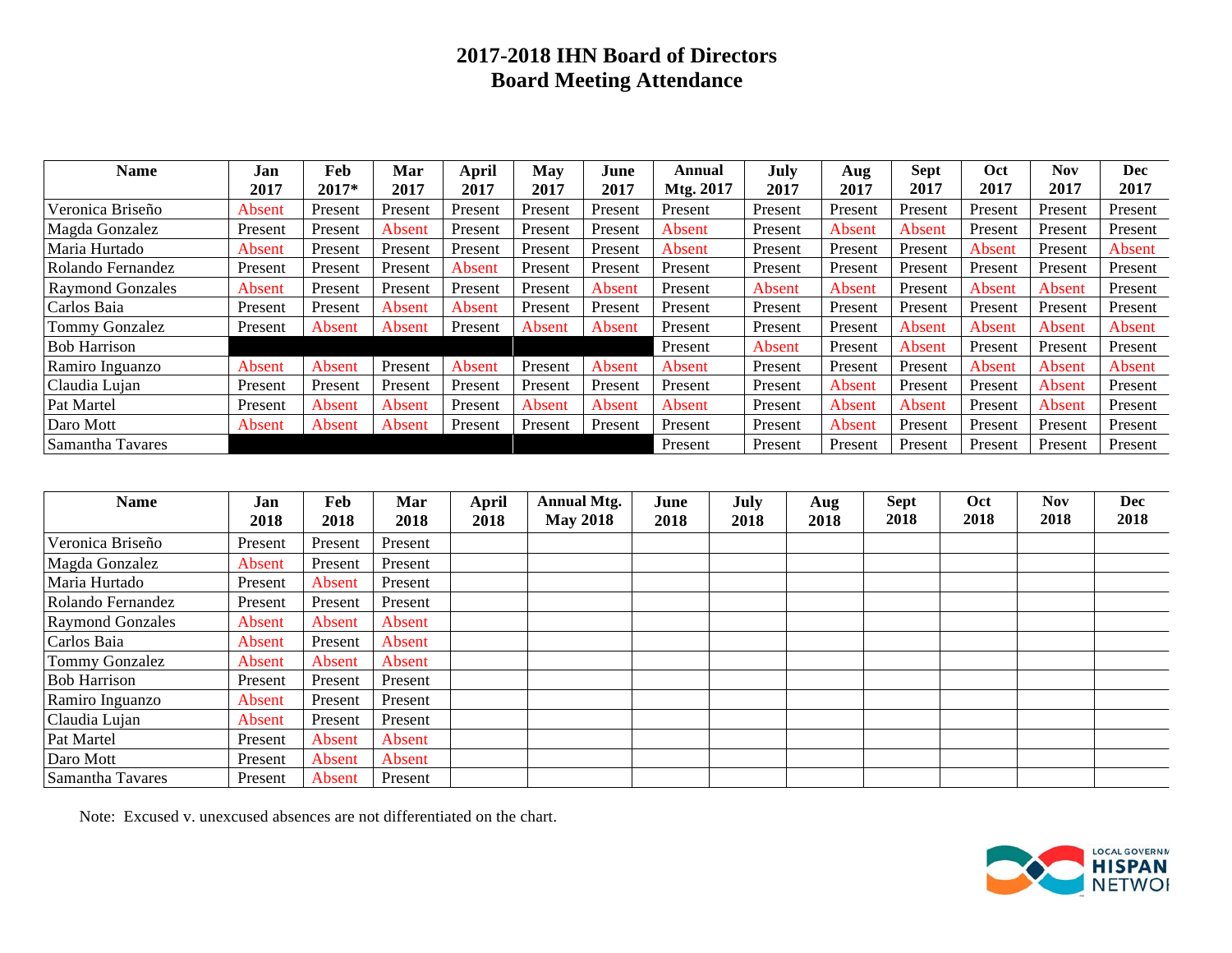# **2017-2018 IHN Board of Directors Board Meeting Attendance**

| <b>Name</b>             | Jan     | Feb     | Mar     | April   | May     | June    | Annual    | July    | Aug     | <b>Sept</b> | Oct     | <b>Nov</b> | <b>Dec</b> |
|-------------------------|---------|---------|---------|---------|---------|---------|-----------|---------|---------|-------------|---------|------------|------------|
|                         | 2017    | 2017*   | 2017    | 2017    | 2017    | 2017    | Mtg. 2017 | 2017    | 2017    | 2017        | 2017    | 2017       | 2017       |
| Veronica Briseño        | Absent  | Present | Present | Present | Present | Present | Present   | Present | Present | Present     | Present | Present    | Present    |
| Magda Gonzalez          | Present | Present | Absent  | Present | Present | Present | Absent    | Present | Absent  | Absent      | Present | Present    | Present    |
| Maria Hurtado           | Absent  | Present | Present | Present | Present | Present | Absent    | Present | Present | Present     | Absent  | Present    | Absent     |
| Rolando Fernandez       | Present | Present | Present | Absent  | Present | Present | Present   | Present | Present | Present     | Present | Present    | Present    |
| <b>Raymond Gonzales</b> | Absent  | Present | Present | Present | Present | Absent  | Present   | Absent  | Absent  | Present     | Absent  | Absent     | Present    |
| Carlos Baia             | Present | Present | Absent  | Absent  | Present | Present | Present   | Present | Present | Present     | Present | Present    | Present    |
| Tommy Gonzalez          | Present | Absent  | Absent  | Present | Absent  | Absent  | Present   | Present | Present | Absent      | Absent  | Absent     | Absent     |
| <b>Bob Harrison</b>     |         |         |         |         |         |         | Present   | Absent  | Present | Absent      | Present | Present    | Present    |
| Ramiro Inguanzo         | Absent  | Absent  | Present | Absent  | Present | Absent  | Absent    | Present | Present | Present     | Absent  | Absent     | Absent     |
| Claudia Lujan           | Present | Present | Present | Present | Present | Present | Present   | Present | Absent  | Present     | Present | Absent     | Present    |
| Pat Martel              | Present | Absent  | Absent  | Present | Absent  | Absent  | Absent    | Present | Absent  | Absent      | Present | Absent     | Present    |
| Daro Mott               | Absent  | Absent  | Absent  | Present | Present | Present | Present   | Present | Absent  | Present     | Present | Present    | Present    |
| Samantha Tavares        |         |         |         |         |         |         | Present   | Present | Present | Present     | Present | Present    | Present    |

| <b>Name</b>             | Jan<br>2018 | Feb<br>2018 | Mar<br>2018 | <b>April</b><br>2018 | <b>Annual Mtg.</b><br><b>May 2018</b> | June<br>2018 | July<br>2018 | Aug<br>2018 | <b>Sept</b><br>2018 | Oct<br>2018 | <b>Nov</b><br>2018 | <b>Dec</b><br>2018 |
|-------------------------|-------------|-------------|-------------|----------------------|---------------------------------------|--------------|--------------|-------------|---------------------|-------------|--------------------|--------------------|
| Veronica Briseño        | Present     | Present     | Present     |                      |                                       |              |              |             |                     |             |                    |                    |
| Magda Gonzalez          | Absent      | Present     | Present     |                      |                                       |              |              |             |                     |             |                    |                    |
| Maria Hurtado           | Present     | Absent      | Present     |                      |                                       |              |              |             |                     |             |                    |                    |
| Rolando Fernandez       | Present     | Present     | Present     |                      |                                       |              |              |             |                     |             |                    |                    |
| <b>Raymond Gonzales</b> | Absent      | Absent      | Absent      |                      |                                       |              |              |             |                     |             |                    |                    |
| Carlos Baia             | Absent      | Present     | Absent      |                      |                                       |              |              |             |                     |             |                    |                    |
| Tommy Gonzalez          | Absent      | Absent      | Absent      |                      |                                       |              |              |             |                     |             |                    |                    |
| <b>Bob Harrison</b>     | Present     | Present     | Present     |                      |                                       |              |              |             |                     |             |                    |                    |
| Ramiro Inguanzo         | Absent      | Present     | Present     |                      |                                       |              |              |             |                     |             |                    |                    |
| Claudia Lujan           | Absent      | Present     | Present     |                      |                                       |              |              |             |                     |             |                    |                    |
| Pat Martel              | Present     | Absent      | Absent      |                      |                                       |              |              |             |                     |             |                    |                    |
| Daro Mott               | Present     | Absent      | Absent      |                      |                                       |              |              |             |                     |             |                    |                    |
| Samantha Tavares        | Present     | Absent      | Present     |                      |                                       |              |              |             |                     |             |                    |                    |

Note: Excused v. unexcused absences are not differentiated on the chart.

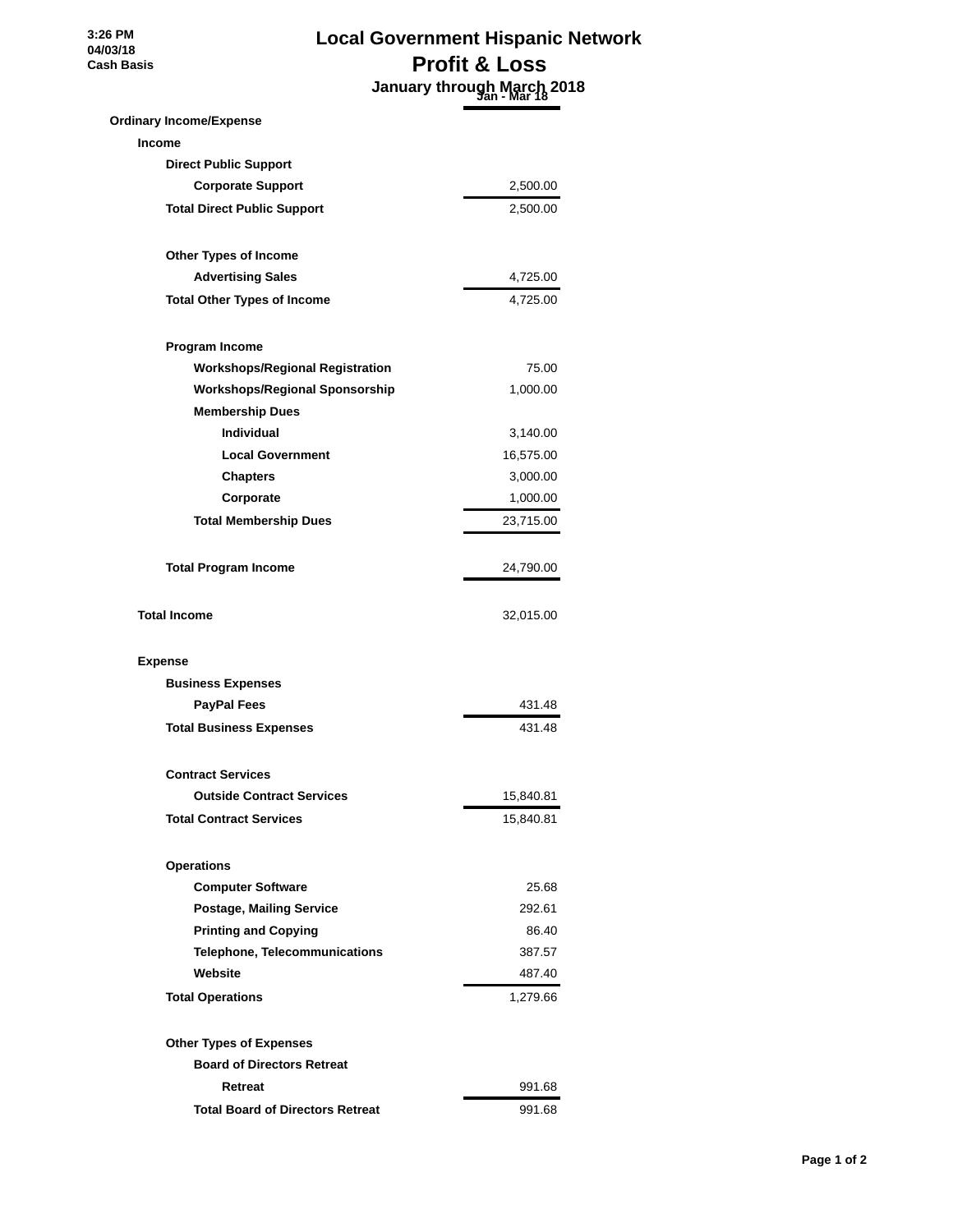**3:26 PM 04/03/18 Cash Basis**

# **Local Government Hispanic Network Profit & Loss January through March 2018 Jan - Mar 18**

| <b>Ordinary Income/Expense</b>          |           |
|-----------------------------------------|-----------|
| <b>Income</b>                           |           |
| <b>Direct Public Support</b>            |           |
| <b>Corporate Support</b>                | 2,500.00  |
| <b>Total Direct Public Support</b>      | 2,500.00  |
| Other Types of Income                   |           |
| <b>Advertising Sales</b>                | 4,725.00  |
| <b>Total Other Types of Income</b>      | 4,725.00  |
| Program Income                          |           |
| <b>Workshops/Regional Registration</b>  | 75.00     |
| <b>Workshops/Regional Sponsorship</b>   | 1,000.00  |
| <b>Membership Dues</b>                  |           |
| <b>Individual</b>                       | 3,140.00  |
| <b>Local Government</b>                 | 16,575.00 |
| <b>Chapters</b>                         | 3,000.00  |
| Corporate                               | 1,000.00  |
| <b>Total Membership Dues</b>            | 23,715.00 |
| <b>Total Program Income</b>             | 24,790.00 |
| <b>Total Income</b>                     | 32,015.00 |
| <b>Expense</b>                          |           |
| <b>Business Expenses</b>                |           |
| <b>PayPal Fees</b>                      | 431.48    |
| <b>Total Business Expenses</b>          | 431.48    |
| <b>Contract Services</b>                |           |
| <b>Outside Contract Services</b>        | 15,840.81 |
| <b>Total Contract Services</b>          | 15,840.81 |
| <b>Operations</b>                       |           |
| <b>Computer Software</b>                | 25.68     |
| <b>Postage, Mailing Service</b>         | 292.61    |
| <b>Printing and Copying</b>             | 86.40     |
| <b>Telephone, Telecommunications</b>    | 387.57    |
| Website                                 | 487.40    |
| <b>Total Operations</b>                 | 1,279.66  |
| <b>Other Types of Expenses</b>          |           |
| <b>Board of Directors Retreat</b>       |           |
| Retreat                                 | 991.68    |
| <b>Total Board of Directors Retreat</b> | 991.68    |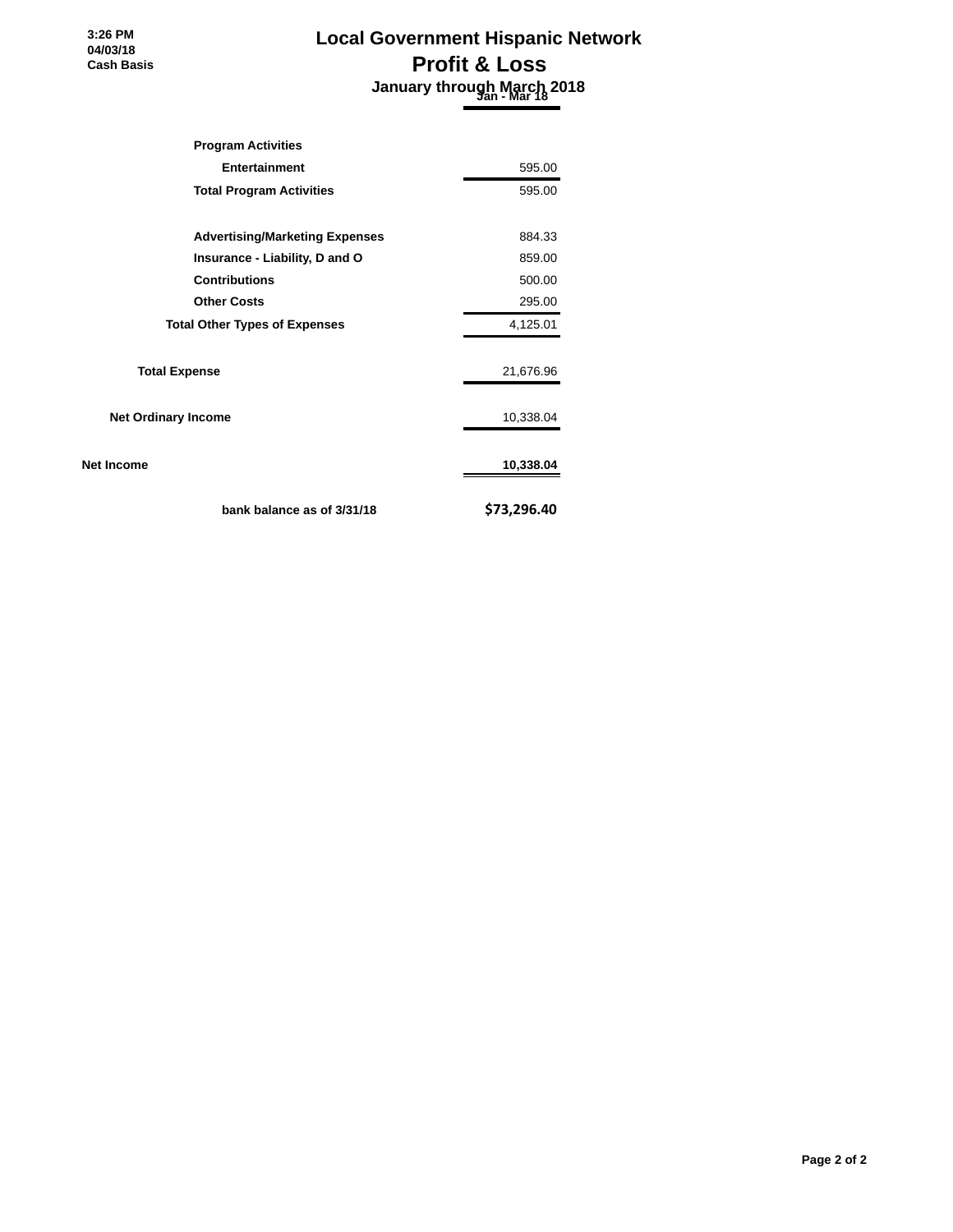**3:26 PM 04/03/18 Cash Basis**

# **Local Government Hispanic Network Profit & Loss January through March 2018 Jan - Mar 18**

| <b>Program Activities</b>             |             |
|---------------------------------------|-------------|
| <b>Entertainment</b>                  | 595.00      |
| <b>Total Program Activities</b>       | 595.00      |
| <b>Advertising/Marketing Expenses</b> | 884.33      |
| Insurance - Liability, D and O        | 859.00      |
| <b>Contributions</b>                  | 500.00      |
| <b>Other Costs</b>                    | 295.00      |
| <b>Total Other Types of Expenses</b>  | 4,125.01    |
| <b>Total Expense</b>                  | 21,676.96   |
| <b>Net Ordinary Income</b>            | 10,338.04   |
| Net Income                            | 10,338.04   |
| bank balance as of 3/31/18            | \$73,296.40 |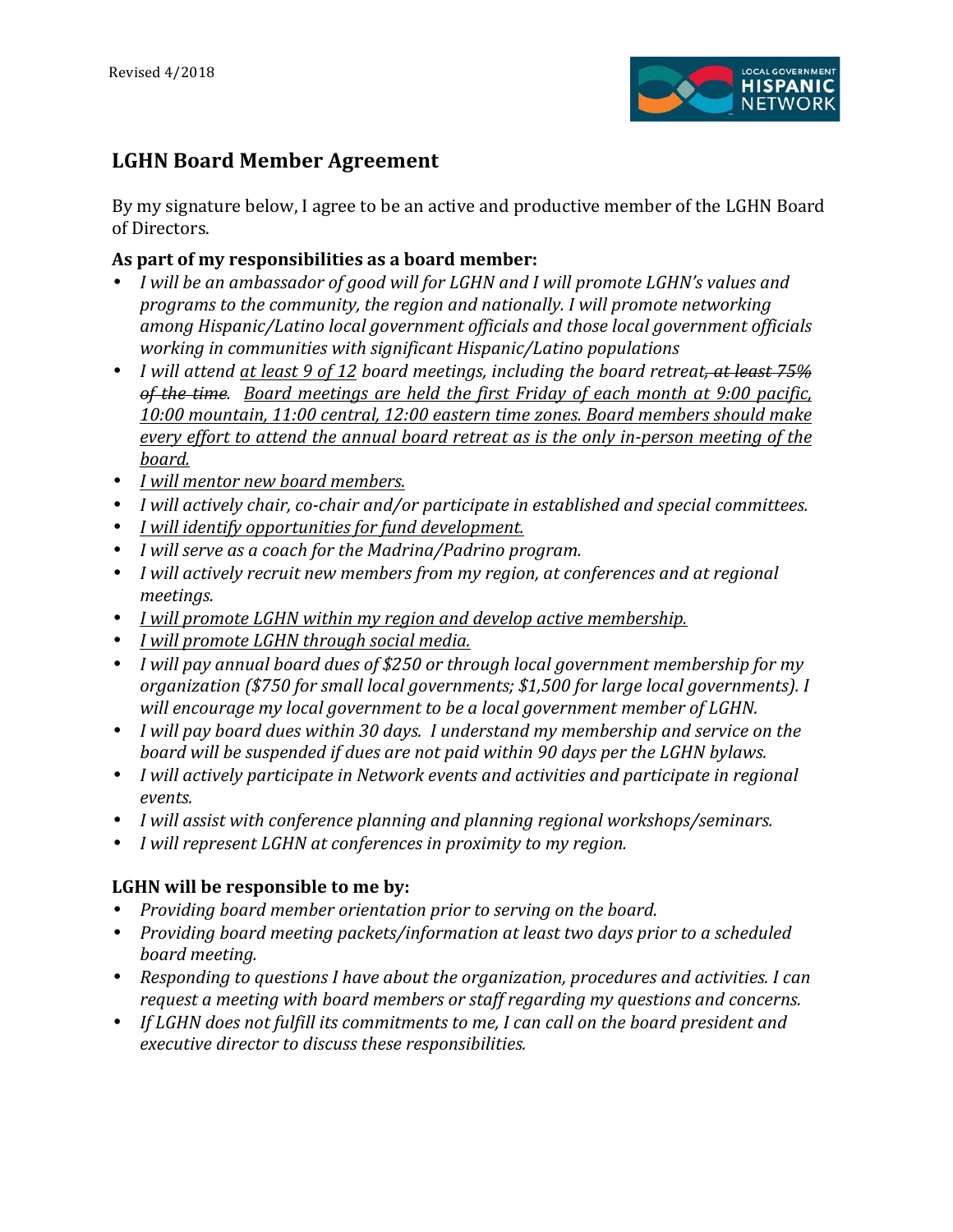

# **LGHN!Board!Member!Agreement**

By my signature below, I agree to be an active and productive member of the LGHN Board of Directors.

# As part of my responsibilities as a board member:

- *I* will be an ambassador of good will for LGHN and I will promote LGHN's values and programs to the community, the region and nationally. I will promote networking among Hispanic/Latino local government officials and those local government officials working in communities with significant Hispanic/Latino populations
- *I will attend at least 9 of 12 board meetings, including the board retreat, at least 75% of the time. Board meetings are held the first Friday of each month at 9:00 pacific, 10:00"mountain,"11:00"central,"12:00"eastern"time"zones."Board"members"should"make" every effort to attend the annual board retreat as is the only in-person meeting of the board.*
- *I will mentor new board members.*
- *I will actively chair, co-chair and/or participate in established and special committees.*
- *I will identify opportunities for fund development.*
- *I will serve as a coach for the Madrina/Padrino program.*
- *I will actively recruit new members from my region, at conferences and at regional meetings.*
- *I will promote LGHN within my region and develop active membership.*
- *I will promote LGHN through social media.*
- *I will pay annual board dues of \$250 or through local government membership for my* organization (\$750 for small local governments; \$1,500 for large local governments). I will encourage my local government to be a local government member of LGHN.
- *I will pay board dues within 30 days. I understand my membership and service on the* board will be suspended if dues are not paid within 90 days per the LGHN bylaws.
- *I will actively participate in Network events and activities and participate in regional events.*
- *I will assist with conference planning and planning regional workshops/seminars.*
- *I* will represent LGHN at conferences in proximity to my region.

# **LGHN will be responsible to me by:**

- *Providing board member orientation prior to serving on the board.*
- *Providing board meeting packets/information at least two days prior to a scheduled board"meeting.*
- Responding to questions I have about the organization, procedures and activities. I can request a meeting with board members or staff regarding my questions and concerns.
- If LGHN does not fulfill its commitments to me, I can call on the board president and executive director to discuss these responsibilities.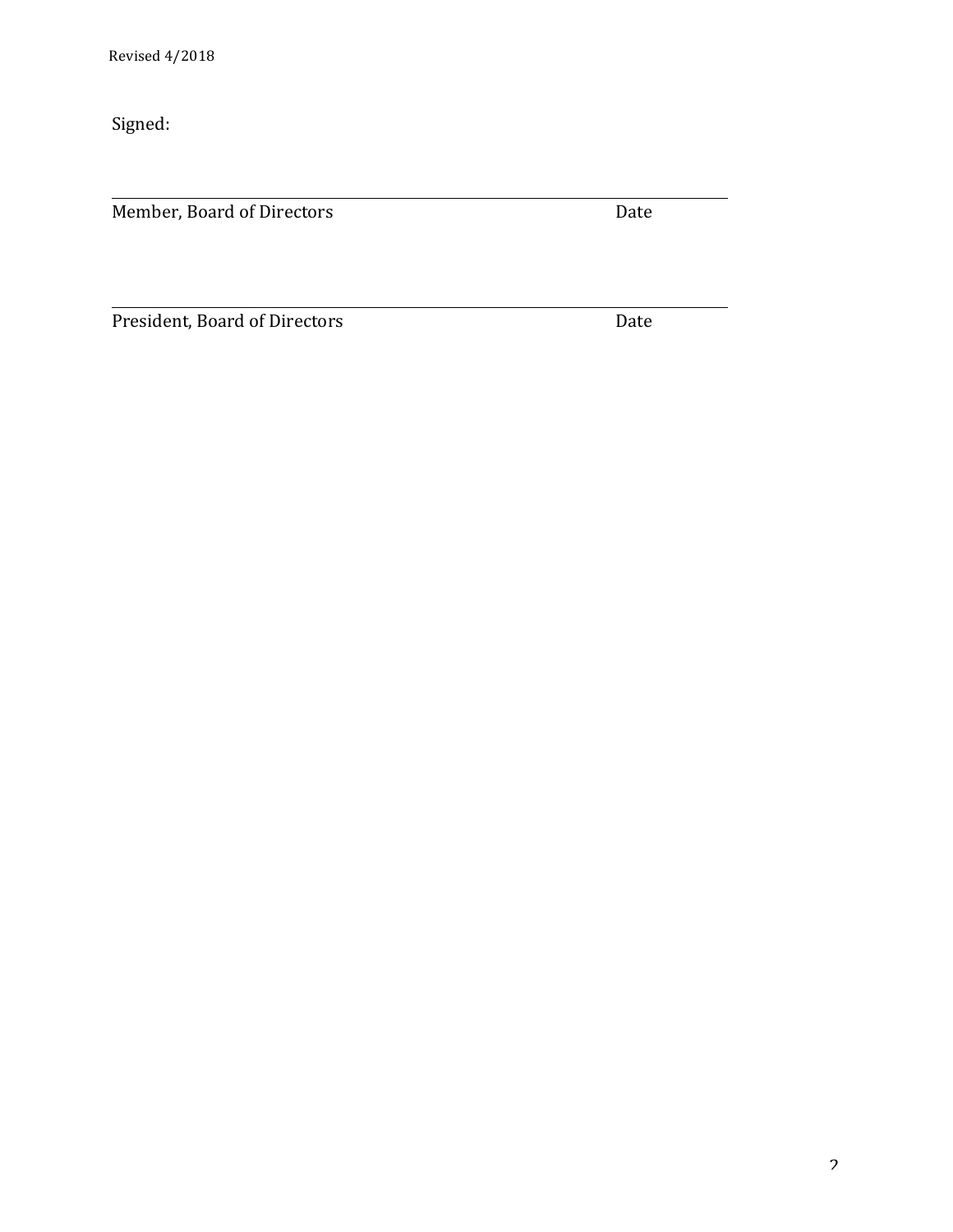Signed:

Member, Board of Directors Date

President, Board of Directors Date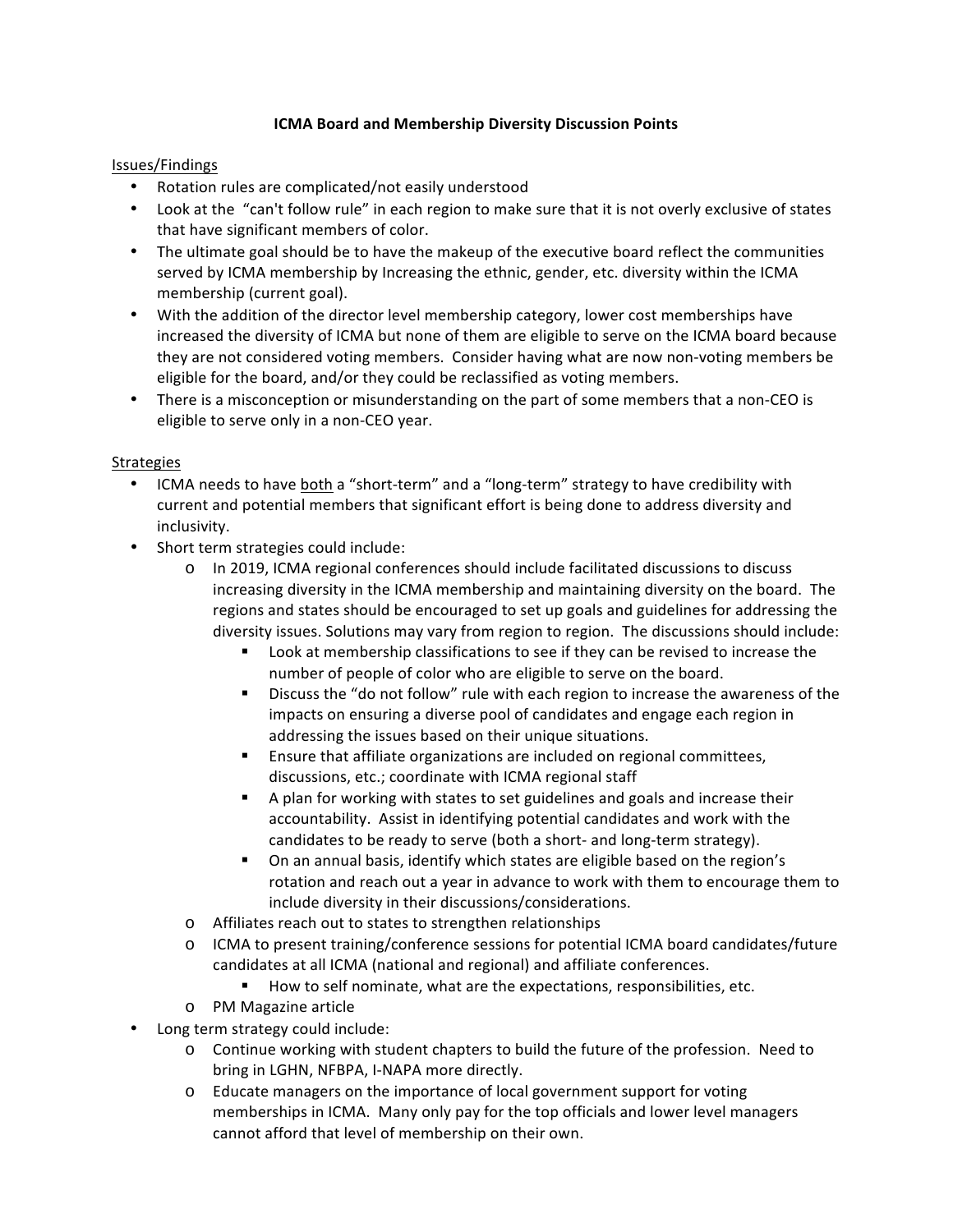## **ICMA Board and Membership Diversity Discussion Points**

#### Issues/Findings

- Rotation rules are complicated/not easily understood
- Look at the "can't follow rule" in each region to make sure that it is not overly exclusive of states that have significant members of color.
- The ultimate goal should be to have the makeup of the executive board reflect the communities served by ICMA membership by Increasing the ethnic, gender, etc. diversity within the ICMA membership (current goal).
- With the addition of the director level membership category, lower cost memberships have increased the diversity of ICMA but none of them are eligible to serve on the ICMA board because they are not considered voting members. Consider having what are now non-voting members be eligible for the board, and/or they could be reclassified as voting members.
- There is a misconception or misunderstanding on the part of some members that a non-CEO is eligible to serve only in a non-CEO year.

#### Strategies

- ICMA needs to have both a "short-term" and a "long-term" strategy to have credibility with current and potential members that significant effort is being done to address diversity and inclusivity.
- Short term strategies could include:
	- $\circ$  In 2019, ICMA regional conferences should include facilitated discussions to discuss increasing diversity in the ICMA membership and maintaining diversity on the board. The regions and states should be encouraged to set up goals and guidelines for addressing the diversity issues. Solutions may vary from region to region. The discussions should include:
		- " Look at membership classifications to see if they can be revised to increase the number of people of color who are eligible to serve on the board.
		- " Discuss the "do not follow" rule with each region to increase the awareness of the impacts on ensuring a diverse pool of candidates and engage each region in addressing the issues based on their unique situations.
		- " Ensure that affiliate organizations are included on regional committees, discussions, etc.; coordinate with ICMA regional staff
		- " A plan for working with states to set guidelines and goals and increase their accountability. Assist in identifying potential candidates and work with the candidates to be ready to serve (both a short- and long-term strategy).
		- " On an annual basis, identify which states are eligible based on the region's rotation and reach out a year in advance to work with them to encourage them to include diversity in their discussions/considerations.
	- o Affiliates reach out to states to strengthen relationships
	- $\circ$  ICMA to present training/conference sessions for potential ICMA board candidates/future candidates at all ICMA (national and regional) and affiliate conferences.
		- " How to self nominate, what are the expectations, responsibilities, etc.
	- o PM Magazine article
- Long term strategy could include:
	- $\circ$  Continue working with student chapters to build the future of the profession. Need to bring in LGHN, NFBPA, I-NAPA more directly.
	- $\circ$  Educate managers on the importance of local government support for voting memberships in ICMA. Many only pay for the top officials and lower level managers cannot afford that level of membership on their own.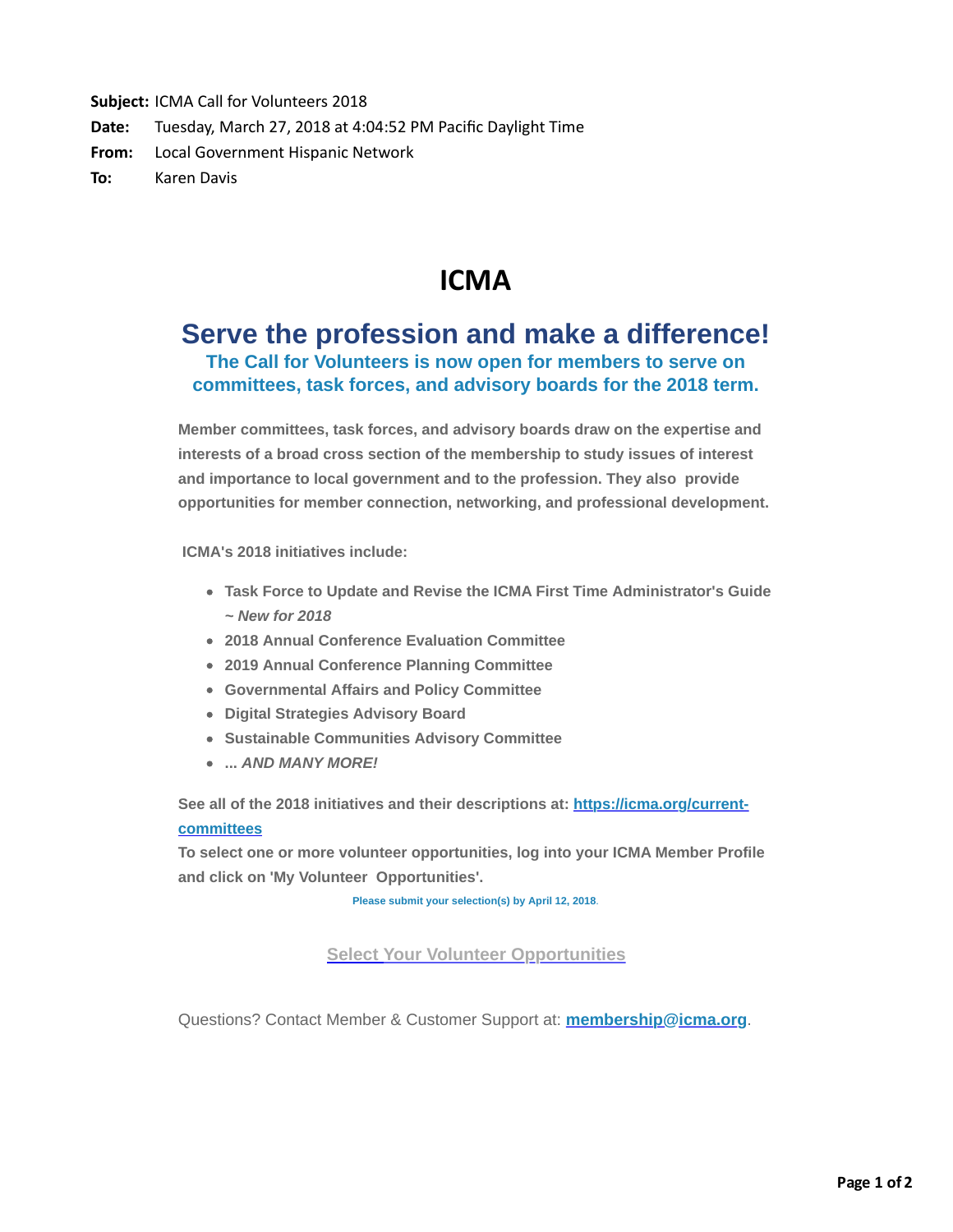Subject: ICMA Call for Volunteers 2018 **Date:** Tuesday, March 27, 2018 at 4:04:52 PM Pacific Daylight Time From: Local Government Hispanic Network **To:** Karen Davis

# **ICMA**

# **Serve the profession and make a difference! The Call for Volunteers is now open for members to serve on committees, task forces, and advisory boards for the 2018 term.**

**Member committees, task forces, and advisory boards draw on the expertise and interests of a broad cross section of the membership to study issues of interest and importance to local government and to the profession. They also provide opportunities for member connection, networking, and professional development.**

 **ICMA's 2018 initiatives include:**

- **Task Force to Update and Revise the ICMA First Time Administrator's Guide** *~ New for 2018*
- **2018 Annual Conference Evaluation Committee**
- **2019 Annual Conference Planning Committee**
- **Governmental Affairs and Policy Committee**
- **Digital Strategies Advisory Board**
- **Sustainable Communities Advisory Committee**
- **...** *AND MANY MORE!*

[See all of the 2018 initiatives and their descriptions at: https://icma.org/current](http://r20.rs6.net/tn.jsp?f=001hiITDR5sUeWTKA4jtz3jFq7iNN1MFRE0deH56CU2qUu_5Fusi20r6wxa6OMhSJ8gMOTihvJED0TWJRfmhRYDDE_RCvhvzYj6ljh30ypHMqbBnnqgo1vR1L81LbXVAXSMdBZvx2qbjMt8kl-R8r5I1r5gIJNtFZqSHoUmoOOb9Hd549t5y3VEG7Mx8RIR17QxEIQw20mtuiNc9TtTWhiWV0fu_RceyYq5xKkvkPJb3YTLNbNcbqMbNn1OHTeqPlRI83JVkOxxjlXogwMkIIPi6g==&c=71Eo_PpenTcXFPhoSmRGIKzxJ2NT-Of_hrsCGIpA5FESr6Tja7_oEA==&ch=GbLoYB9u1oo80PrTGbLy7k1OVSWEfNkVfiA2HidYISAy6Nydvp3kmQ==)**committees**

**To select one or more volunteer opportunities, log into your ICMA Member Profile and click on 'My Volunteer Opportunities'.**

**Please submit your selection(s) by April 12, 2018**.

**[Select Your Volunteer Opportunities](http://r20.rs6.net/tn.jsp?f=001hiITDR5sUeWTKA4jtz3jFq7iNN1MFRE0deH56CU2qUu_5Fusi20r6wxa6OMhSJ8g4TN6-WPWYKkVHHPAqlrbkwH_8Vd_3WIBNfB1h5JqBz0kCVBhRLcTBf_iikzWnDIfGCjwJ-O9zi8l_FvnpzC8lxJ-PoQ4m-YEJBoyRJBEDQIAqjt1UJgKlCAa8UnosLHfjILrx7vBDJWd0a-1EIomZbZKcfwJS1GsB9mtX8_ng0NCQX6NCoQ7vwXUZqN2HijcDnvVv9xcx5xvTfZ7NWUYgA==&c=71Eo_PpenTcXFPhoSmRGIKzxJ2NT-Of_hrsCGIpA5FESr6Tja7_oEA==&ch=GbLoYB9u1oo80PrTGbLy7k1OVSWEfNkVfiA2HidYISAy6Nydvp3kmQ==)**

Questions? Contact Member & Customer Support at: **[membership@icma.org](http://r20.rs6.net/tn.jsp?f=001hiITDR5sUeWTKA4jtz3jFq7iNN1MFRE0deH56CU2qUu_5Fusi20r6wxa6OMhSJ8ghTpc-KgkaW-tg_V0dBcDajWDMIDECxn3P4WbCHd0yfG9KGbrey10TO5J-QYQ1EZiiNg0rGMwp20nJPJfBP7E-sx5bEQjAaMvgp07PzuQHWZ2AXHT9LxUzviq-Qyca8g0-qsy0G16N8fuwCSyjvlco55lzhcAaT5Zyoekdf3SLZy8skLjy4F9wMQPzhT_w-ia0EYAneYjJq0emrq8qKWLPQ==&c=71Eo_PpenTcXFPhoSmRGIKzxJ2NT-Of_hrsCGIpA5FESr6Tja7_oEA==&ch=GbLoYB9u1oo80PrTGbLy7k1OVSWEfNkVfiA2HidYISAy6Nydvp3kmQ==)**.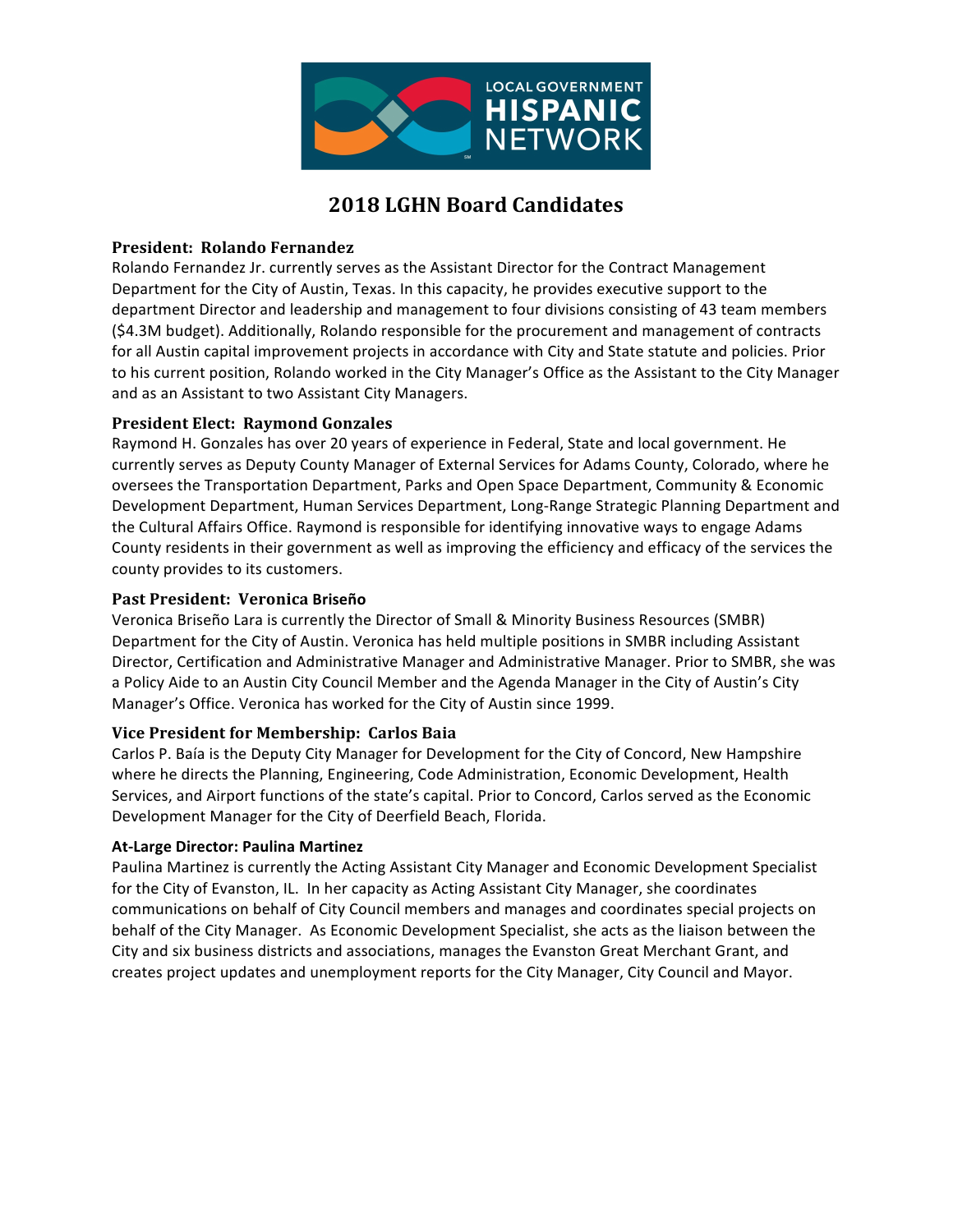

# **2018 LGHN Board Candidates**

## **President: Rolando Fernandez**

Rolando Fernandez Jr. currently serves as the Assistant Director for the Contract Management Department for the City of Austin, Texas. In this capacity, he provides executive support to the department Director and leadership and management to four divisions consisting of 43 team members (\$4.3M budget). Additionally, Rolando responsible for the procurement and management of contracts for all Austin capital improvement projects in accordance with City and State statute and policies. Prior to his current position, Rolando worked in the City Manager's Office as the Assistant to the City Manager and as an Assistant to two Assistant City Managers.

# **President Elect: Raymond Gonzales**

Raymond H. Gonzales has over 20 years of experience in Federal, State and local government. He currently serves as Deputy County Manager of External Services for Adams County, Colorado, where he oversees the Transportation Department, Parks and Open Space Department, Community & Economic Development Department, Human Services Department, Long-Range Strategic Planning Department and the Cultural Affairs Office. Raymond is responsible for identifying innovative ways to engage Adams County residents in their government as well as improving the efficiency and efficacy of the services the county provides to its customers.

## **Past President: Veronica Briseño**

Veronica Briseño Lara is currently the Director of Small & Minority Business Resources (SMBR) Department for the City of Austin. Veronica has held multiple positions in SMBR including Assistant Director, Certification and Administrative Manager and Administrative Manager. Prior to SMBR, she was a Policy Aide to an Austin City Council Member and the Agenda Manager in the City of Austin's City Manager's Office. Veronica has worked for the City of Austin since 1999.

#### **Vice President for Membership: Carlos Baia**

Carlos P. Baía is the Deputy City Manager for Development for the City of Concord, New Hampshire where he directs the Planning, Engineering, Code Administration, Economic Development, Health Services, and Airport functions of the state's capital. Prior to Concord, Carlos served as the Economic Development Manager for the City of Deerfield Beach, Florida.

#### **At-Large Director: Paulina Martinez**

Paulina Martinez is currently the Acting Assistant City Manager and Economic Development Specialist for the City of Evanston, IL. In her capacity as Acting Assistant City Manager, she coordinates communications on behalf of City Council members and manages and coordinates special projects on behalf of the City Manager. As Economic Development Specialist, she acts as the liaison between the City and six business districts and associations, manages the Evanston Great Merchant Grant, and creates project updates and unemployment reports for the City Manager, City Council and Mayor.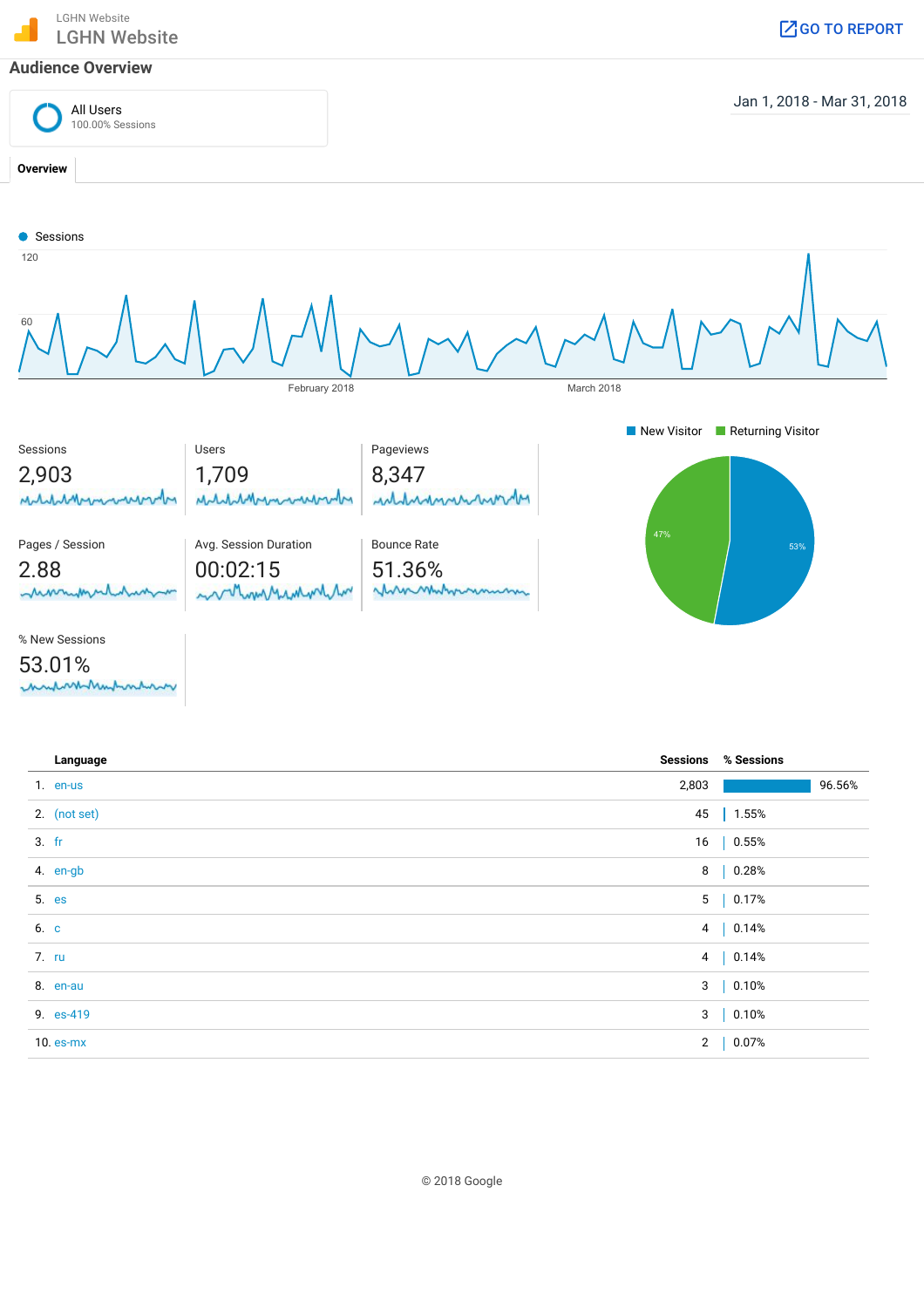LGHN Website ്രണം അടിയെ സ്ഥാപനം കാണുകളുടെ അവരാജിക്കുന്നു.<br>LGHN Website ദേശീകരിക്കുന്ന കാണുകളുടെ അവരാജിക്കുന്ന കാണുകളുടെ അവരാജിക്കുന്ന കാണുകളുടെ അവരാജിക്കുന്നു. അതിനെ കാ

#### Audience Overview



| Language       |       | <b>Sessions % Sessions</b> |        |
|----------------|-------|----------------------------|--------|
| 1. en-us       | 2,803 |                            | 96.56% |
| 2. (not set)   |       | 45   1.55%                 |        |
| $3.$ fr        |       | 16   0.55%                 |        |
| 4. en-gb       |       | 8   0.28%                  |        |
| 5. es          |       | 5   0.17%                  |        |
| 6. c           |       | 4   0.14%                  |        |
| 7. ru          |       | 4   0.14%                  |        |
| 8. en-au       |       | 3   0.10%                  |        |
| 9. es-419      |       | 3   0.10%                  |        |
| $10.$ es- $mx$ |       | 2   0.07%                  |        |
|                |       |                            |        |